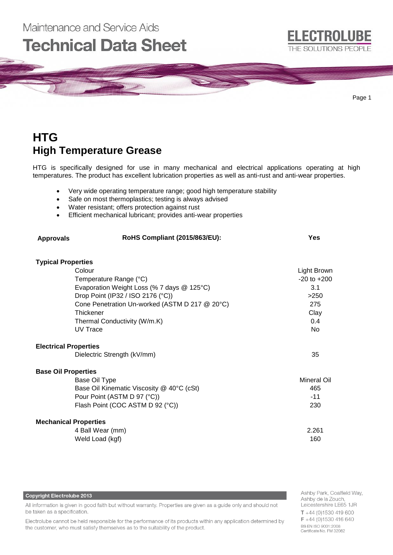

## **HTG High Temperature Grease**

Maintenance and Service Aids

HTG is specifically designed for use in many mechanical and electrical applications operating at high temperatures. The product has excellent lubrication properties as well as anti-rust and anti-wear properties.

- Very wide operating temperature range; good high temperature stability
- Safe on most thermoplastics; testing is always advised
- Water resistant; offers protection against rust
- Efficient mechanical lubricant; provides anti-wear properties

| <b>Approvals</b>             | RoHS Compliant (2015/863/EU):                  | <b>Yes</b>      |
|------------------------------|------------------------------------------------|-----------------|
| <b>Typical Properties</b>    |                                                |                 |
|                              | Colour                                         | Light Brown     |
|                              | Temperature Range (°C)                         | $-20$ to $+200$ |
|                              | Evaporation Weight Loss (% 7 days @ 125°C)     | 3.1             |
|                              | Drop Point (IP32 / ISO 2176 (°C))              | >250            |
|                              | Cone Penetration Un-worked (ASTM D 217 @ 20°C) | 275             |
|                              | Thickener                                      | Clay            |
|                              | Thermal Conductivity (W/m.K)                   | 0.4             |
|                              | UV Trace                                       | <b>No</b>       |
| <b>Electrical Properties</b> |                                                |                 |
|                              | Dielectric Strength (kV/mm)                    | 35              |
| <b>Base Oil Properties</b>   |                                                |                 |
|                              | Base Oil Type                                  | Mineral Oil     |
|                              | Base Oil Kinematic Viscosity @ 40°C (cSt)      | 465             |
|                              | Pour Point (ASTM D 97 (°C))                    | $-11$           |
|                              | Flash Point (COC ASTM D 92 (°C))               | 230             |
| <b>Mechanical Properties</b> |                                                |                 |
|                              | 4 Ball Wear (mm)                               | 2.261           |
|                              | Weld Load (kgf)                                | 160             |

## **Copyright Electrolube 2013**

All information is given in good faith but without warranty. Properties are given as a guide only and should not be taken as a specification.

Electrolube cannot be held responsible for the performance of its products within any application determined by the customer, who must satisfy themselves as to the suitability of the product.

Ashby Park, Coalfield Way, Ashby de la Zouch, Leicestershire LE65 1JR  $T + 44$  (0)1530 419 600 F +44 (0)1530 416 640 BS EN ISO 9001:2008 Certificate No. FM 32082